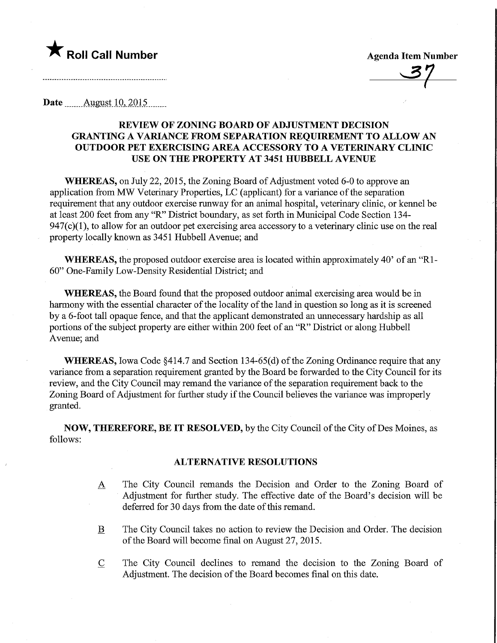

**Agenda Item Number** 

Date <u>August 10, 2015</u>

# REVIEW OF ZONING BOARD OF ADJUSTMENT DECISION GRANTING A VARIANCE FROM SEPARATION REQUIREMENT TO ALLOW AN OUTDOOR PET EXERCISING AREA ACCESSORY TO A VETERINARY CLINIC USE ON THE PROPERTY AT 3451 HUBBELL AVENUE

WHEREAS, on July 22, 2015, the Zoning Board of Adjustment voted 6-0 to approve an application from MW Veterinary Properties, LC (applicant) for a variance of the separation requirement that any outdoor exercise runway for an animal hospital, veterinary clinic, or kennel be at least 200 feet from any "R" District boundary, as set forth in Municipal Code Section 134-  $947(c)(1)$ , to allow for an outdoor pet exercising area accessory to a veterinary clinic use on the real property locally known as 3451 Hubbell Avenue; and

WHEREAS, the proposed outdoor exercise area is located within approximately 40' of an "Rl-60" One-Family Low-Density Residential District; and

WHEREAS, the Board found that the proposed outdoor animal exercising area would be in harmony with the essential character of the locality of the land in question so long as it is screened by a 6-foot tall opaque fence, and that the applicant demonstrated an unnecessary hardship as all portions of the subject property are either within 200 feet of an "R" District or along Hubbell Avenue; and

WHEREAS, Iowa Code §414.7 and Section 134-65(d) of the Zoning Ordinance require that any variance from a separation requirement granted by the Board be fonvarded to the City Council for its review, and the City Council may remand the variance of the separation requirement back to the Zoning Board of Adjustment for further study if the Council believes the variance was improperly granted.

NOW, THEREFORE, BE IT RESOLVED, by the City Council of the City of Des Moines, as follows:

# **ALTERNATIVE RESOLUTIONS**

- A The City Council remands the Decision and Order to the Zoning Board of Adjustment for further study. The effective date of the Board's decision will be deferred for 30 days from the date of this remand.
- B The City Council takes no action to review the Decision and Order. The decision of the Board will become final on August 27, 2015.
- C The City Council declines to remand the decision to the Zoning Board of Adjustment. The decision of the Board becomes final on this date.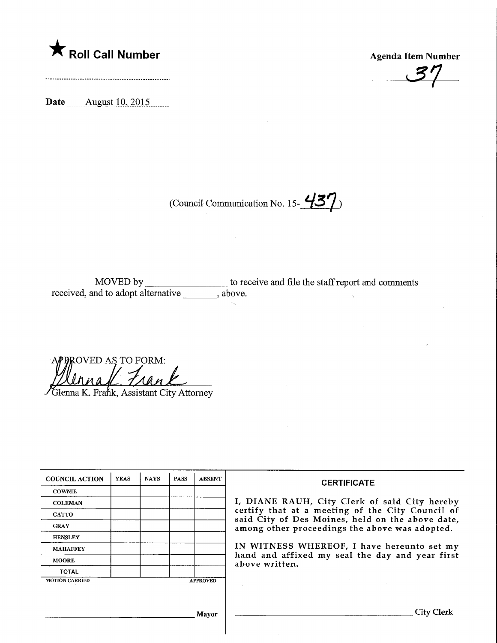

Agenda Item Number

 $37$ 

Date ........August\_10,.2015.

(Council Communication No. 15- $\frac{437}{ }$ )

MOVED by \_\_\_\_\_\_\_\_\_\_\_\_\_\_\_\_\_ to receive and file the staff report and comments received, and to adopt alternative , above.

ROVED AS TO FORM:  $U_1 \mathcal{A}_2 \mathcal{L}$ .

Glenna K. Frank, Assistant City Attorney

| <b>COUNCIL ACTION</b> | <b>YEAS</b> | <b>NAYS</b> | <b>PASS</b> | <b>ABSENT</b>   |  |
|-----------------------|-------------|-------------|-------------|-----------------|--|
| <b>COWNIE</b>         |             |             |             |                 |  |
| <b>COLEMAN</b>        |             |             |             |                 |  |
| <b>GATTO</b>          |             |             |             |                 |  |
| <b>GRAY</b>           |             |             |             |                 |  |
| <b>HENSLEY</b>        |             |             |             |                 |  |
| <b>MAHAFFEY</b>       |             |             |             |                 |  |
| <b>MOORE</b>          |             |             |             |                 |  |
| <b>TOTAL</b>          |             |             |             |                 |  |
| <b>MOTION CARRIED</b> |             |             |             | <b>APPROVED</b> |  |

### **CERTIFICATE**

I, DIANE RAUH, City Clerk of said City hereby certify that at a meeting of the City Council of said City of Des Moines, held on the above date, among other proceedings the above was adopted.

IN WITNESS WHEREOF, I have hereunto set my hand and affixed my seal the day and year first above written.

Mayor

 $\bar{z}$ 

. City Clerk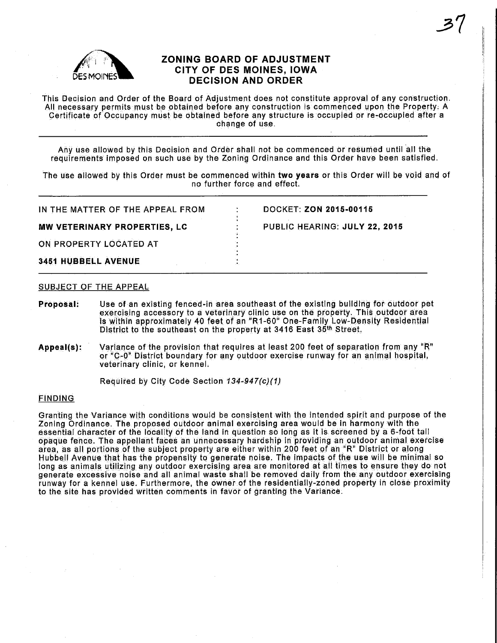

# ZONING BOARD OF ADJUSTMENT CITY OF DES MOINES, IOWA DECISION AND ORDER

This Decision and Order of the Board of Adjustment does not constitute approval of any construction. All necessary permits must be obtained before any construction is commenced upon the Property:  $\ddot{A}$ Certificate of Occupancy must be obtained before any structure is occupied or re-occupied after a change of use.

Any use allowed by this Decision and Order shall not be commenced or resumed until all the requirements imposed on such use by the Zoning Ordinance and this Order have been satisfied.

The use allowed by this Order must be commenced within two years or this Order will be void and of no further force and effect.

| IN THE MATTER OF THE APPEAL FROM | <b>DOCKET: ZON 2015-00115</b> |
|----------------------------------|-------------------------------|
| MW VETERINARY PROPERTIES, LC     | PUBLIC HEARING: JULY 22, 2015 |
| ON PROPERTY LOCATED AT           |                               |
| 3451 HUBBELL AVENUE              |                               |

## SUBJECT OF THE APPEAL

Proposal: Use of an existing fenced-in area southeast of the existing building for outdoor pet exercising accessory to a veterinary clinic use on the property. This outdoor area is within approximately 40 feet of an "R1-60" One-Fahnily Low-Density Residential District to the southeast on the property at 3416 East 35th Street,

Appeal(s): Variance of the provision that requires at least 200 feet of separation from any "R" or "C-0" District boundary for any outdoor exercise runway for an animal hospital, veterinary clinic, or kennel;

Required by City Code Section 134-947(c)(1)

## **FINDING**

Granting the Variance with conditions would be consistent with the intended spint and purpose of the Zoning Ordinance. The proposed outdoor animal exercising area would be in harmony with the essential character of the IdGallfy of the land in question so long as it is screened by a 6-foot tail opaque fence. The appellant faces an unnecessary hardship in providing an outdoor animal exercise area, as all portions of the subject property are either within 200 feet of an "R" District or along Hubbell Avenue that has the propensity to generate noise. The impacts of the use will be minimal so long as animals utilizing any outdoor exercising area are monitored at all times to ensure they do not generate excessive noise and all animal waste shall be removed daily from the any outdoor exercising runway for a kennel use. Furthermore, the owner of the residentially-zoned property in close proximity to the site has provided written comments in favor of granting the Variance.